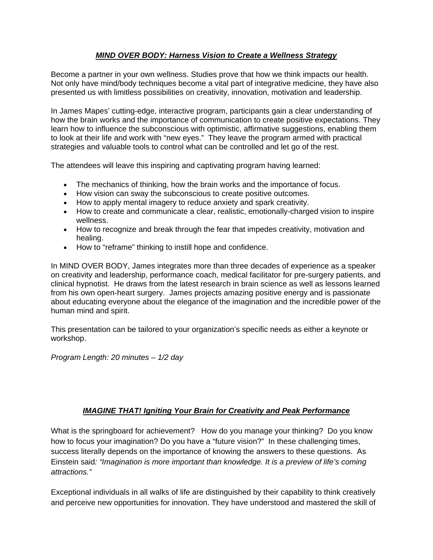## *MIND OVER BODY: Harness Vision to Create a Wellness Strategy*

Become a partner in your own wellness. Studies prove that how we think impacts our health. Not only have mind/body techniques become a vital part of integrative medicine, they have also presented us with limitless possibilities on creativity, innovation, motivation and leadership.

In James Mapes' cutting-edge, interactive program, participants gain a clear understanding of how the brain works and the importance of communication to create positive expectations. They learn how to influence the subconscious with optimistic, affirmative suggestions, enabling them to look at their life and work with "new eyes." They leave the program armed with practical strategies and valuable tools to control what can be controlled and let go of the rest.

The attendees will leave this inspiring and captivating program having learned:

- The mechanics of thinking, how the brain works and the importance of focus.
- How vision can sway the subconscious to create positive outcomes.
- How to apply mental imagery to reduce anxiety and spark creativity.
- How to create and communicate a clear, realistic, emotionally-charged vision to inspire wellness.
- How to recognize and break through the fear that impedes creativity, motivation and healing.
- How to "reframe" thinking to instill hope and confidence.

In MIND OVER BODY, James integrates more than three decades of experience as a speaker on creativity and leadership, performance coach, medical facilitator for pre-surgery patients, and clinical hypnotist. He draws from the latest research in brain science as well as lessons learned from his own open-heart surgery. James projects amazing positive energy and is passionate about educating everyone about the elegance of the imagination and the incredible power of the human mind and spirit.

This presentation can be tailored to your organization's specific needs as either a keynote or workshop.

*Program Length: 20 minutes – 1/2 day*

## *IMAGINE THAT! Igniting Your Brain for Creativity and Peak Performance*

What is the springboard for achievement? How do you manage your thinking? Do you know how to focus your imagination? Do you have a "future vision?" In these challenging times, success literally depends on the importance of knowing the answers to these questions. As Einstein said*: "Imagination is more important than knowledge. It is a preview of life's coming attractions."* 

Exceptional individuals in all walks of life are distinguished by their capability to think creatively and perceive new opportunities for innovation. They have understood and mastered the skill of